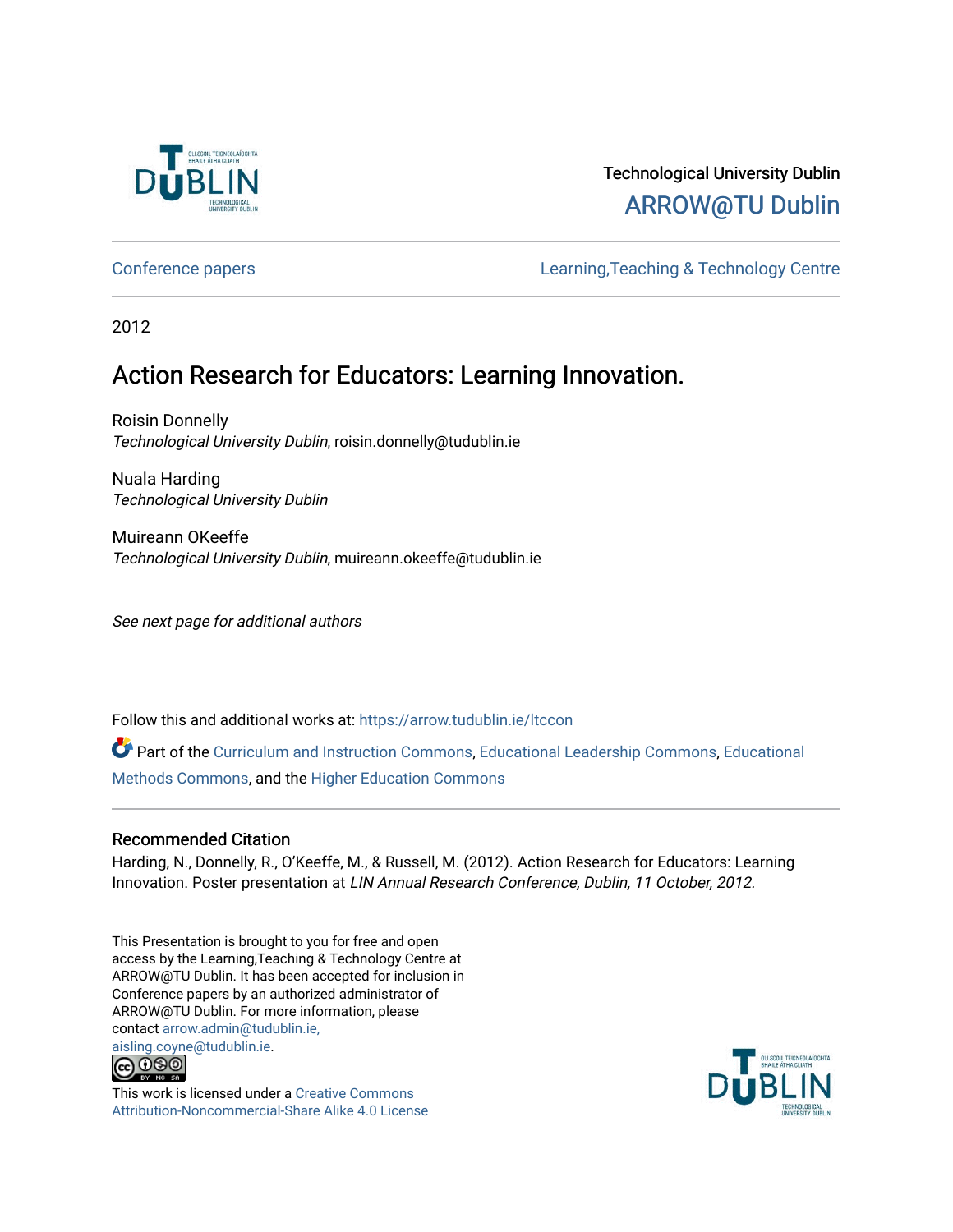

#### Technological University Dublin [ARROW@TU Dublin](https://arrow.tudublin.ie/)

[Conference papers](https://arrow.tudublin.ie/ltccon) [Learning,Teaching & Technology Centre](https://arrow.tudublin.ie/ltc) 

2012

#### Action Research for Educators: Learning Innovation.

Roisin Donnelly Technological University Dublin, roisin.donnelly@tudublin.ie

Nuala Harding Technological University Dublin

Muireann OKeeffe Technological University Dublin, muireann.okeeffe@tudublin.ie

See next page for additional authors

Follow this and additional works at: [https://arrow.tudublin.ie/ltccon](https://arrow.tudublin.ie/ltccon?utm_source=arrow.tudublin.ie%2Fltccon%2F31&utm_medium=PDF&utm_campaign=PDFCoverPages)

Part of the [Curriculum and Instruction Commons,](http://network.bepress.com/hgg/discipline/786?utm_source=arrow.tudublin.ie%2Fltccon%2F31&utm_medium=PDF&utm_campaign=PDFCoverPages) [Educational Leadership Commons,](http://network.bepress.com/hgg/discipline/1230?utm_source=arrow.tudublin.ie%2Fltccon%2F31&utm_medium=PDF&utm_campaign=PDFCoverPages) [Educational](http://network.bepress.com/hgg/discipline/1227?utm_source=arrow.tudublin.ie%2Fltccon%2F31&utm_medium=PDF&utm_campaign=PDFCoverPages) [Methods Commons,](http://network.bepress.com/hgg/discipline/1227?utm_source=arrow.tudublin.ie%2Fltccon%2F31&utm_medium=PDF&utm_campaign=PDFCoverPages) and the [Higher Education Commons](http://network.bepress.com/hgg/discipline/1245?utm_source=arrow.tudublin.ie%2Fltccon%2F31&utm_medium=PDF&utm_campaign=PDFCoverPages) 

#### Recommended Citation

Harding, N., Donnelly, R., O'Keeffe, M., & Russell, M. (2012). Action Research for Educators: Learning Innovation. Poster presentation at LIN Annual Research Conference, Dublin, 11 October, 2012.

This Presentation is brought to you for free and open access by the Learning,Teaching & Technology Centre at ARROW@TU Dublin. It has been accepted for inclusion in Conference papers by an authorized administrator of ARROW@TU Dublin. For more information, please contact [arrow.admin@tudublin.ie,](mailto:arrow.admin@tudublin.ie,%20aisling.coyne@tudublin.ie) 



This work is licensed under a [Creative Commons](http://creativecommons.org/licenses/by-nc-sa/4.0/) [Attribution-Noncommercial-Share Alike 4.0 License](http://creativecommons.org/licenses/by-nc-sa/4.0/)

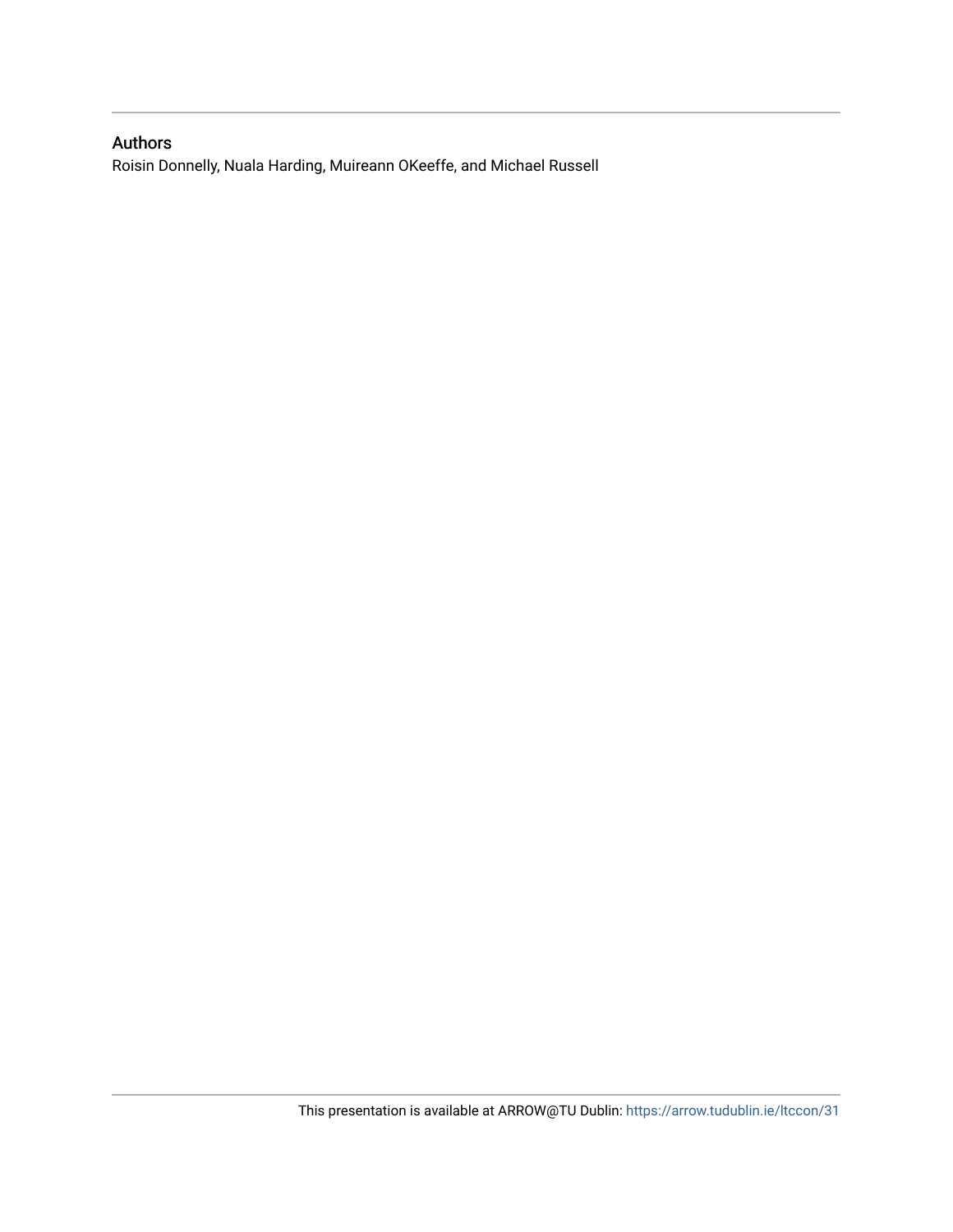#### Authors

Roisin Donnelly, Nuala Harding, Muireann OKeeffe, and Michael Russell